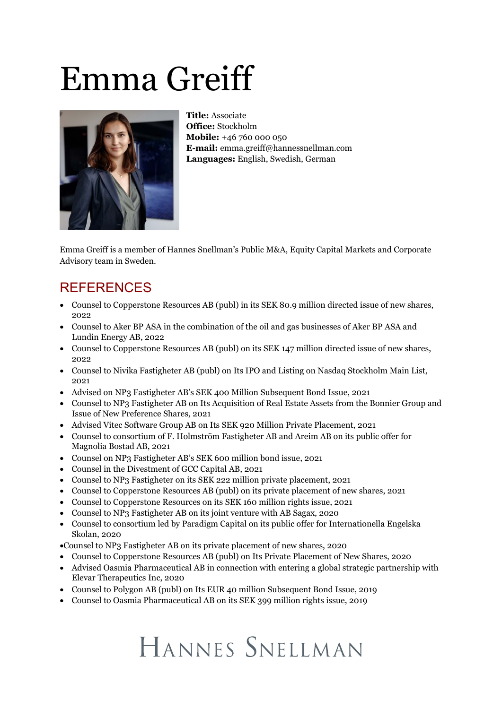# Emma Greiff



**Title:** Associate **Office:** Stockholm **Mobile:** +46 760 000 050 **E-mail:** emma.greiff@hannessnellman.com **Languages:** English, Swedish, German

Emma Greiff is a member of Hannes Snellman's Public M&A, Equity Capital Markets and Corporate Advisory team in Sweden.

#### REFERENCES

- · Counsel to Copperstone Resources AB (publ) in its SEK 80.9 million directed issue of new shares, 2022
- · Counsel to Aker BP ASA in the combination of the oil and gas businesses of Aker BP ASA and Lundin Energy AB, 2022
- · Counsel to Copperstone Resources AB (publ) on its SEK 147 million directed issue of new shares, 2022
- · Counsel to Nivika Fastigheter AB (publ) on Its IPO and Listing on Nasdaq Stockholm Main List, 2021
- · Advised on NP3 Fastigheter AB's SEK 400 Million Subsequent Bond Issue, 2021
- · Counsel to NP3 Fastigheter AB on Its Acquisition of Real Estate Assets from the Bonnier Group and Issue of New Preference Shares, 2021
- · Advised Vitec Software Group AB on Its SEK 920 Million Private Placement, 2021
- · Counsel to consortium of F. Holmström Fastigheter AB and Areim AB on its public offer for Magnolia Bostad AB, 2021
- · Counsel on NP3 Fastigheter AB's SEK 600 million bond issue, 2021
- · Counsel in the Divestment of GCC Capital AB, 2021
- · Counsel to NP3 Fastigheter on its SEK 222 million private placement, 2021
- · Counsel to Copperstone Resources AB (publ) on its private placement of new shares, 2021
- · Counsel to Copperstone Resources on its SEK 160 million rights issue, 2021
- · Counsel to NP3 Fastigheter AB on its joint venture with AB Sagax, 2020
- · Counsel to consortium led by Paradigm Capital on its public offer for Internationella Engelska Skolan, 2020
- ·Counsel to NP3 Fastigheter AB on its private placement of new shares, 2020
- · Counsel to Copperstone Resources AB (publ) on Its Private Placement of New Shares, 2020
- · Advised Oasmia Pharmaceutical AB in connection with entering a global strategic partnership with Elevar Therapeutics Inc, 2020
- · Counsel to Polygon AB (publ) on Its EUR 40 million Subsequent Bond Issue, 2019
- · Counsel to Oasmia Pharmaceutical AB on its SEK 399 million rights issue, 2019

## HANNES SNELLMAN